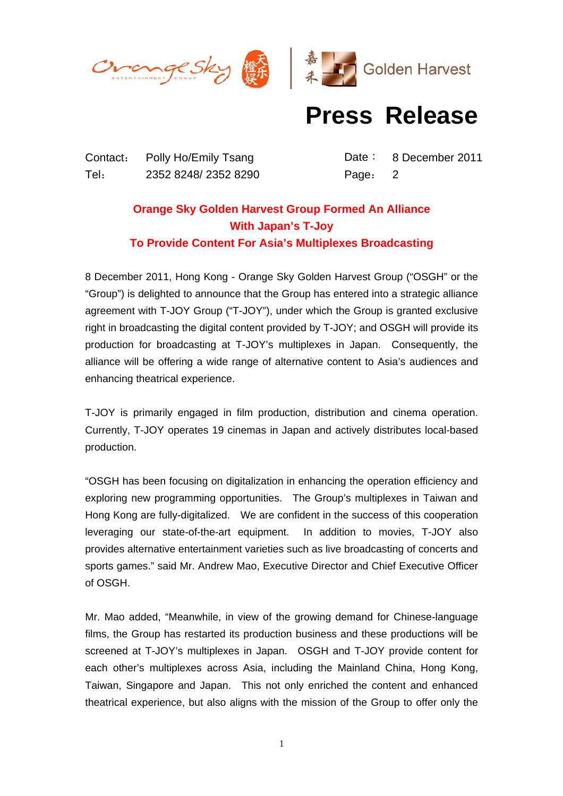

## **Press Release**

Contact: Polly Ho/Emily Tsang Date: 8 December 2011 Tel: 2352 8248/ 2352 8290 Page: 2

## **Orange Sky Golden Harvest Group Formed An Alliance With Japan's T-Joy To Provide Content For Asia's Multiplexes Broadcasting**

8 December 2011, Hong Kong - Orange Sky Golden Harvest Group ("OSGH" or the "Group") is delighted to announce that the Group has entered into a strategic alliance agreement with T-JOY Group ("T-JOY"), under which the Group is granted exclusive right in broadcasting the digital content provided by T-JOY; and OSGH will provide its production for broadcasting at T-JOY's multiplexes in Japan. Consequently, the alliance will be offering a wide range of alternative content to Asia's audiences and enhancing theatrical experience.

T-JOY is primarily engaged in film production, distribution and cinema operation. Currently, T-JOY operates 19 cinemas in Japan and actively distributes local-based production.

"OSGH has been focusing on digitalization in enhancing the operation efficiency and exploring new programming opportunities. The Group's multiplexes in Taiwan and Hong Kong are fully-digitalized. We are confident in the success of this cooperation leveraging our state-of-the-art equipment. In addition to movies, T-JOY also provides alternative entertainment varieties such as live broadcasting of concerts and sports games." said Mr. Andrew Mao, Executive Director and Chief Executive Officer of OSGH.

Mr. Mao added, "Meanwhile, in view of the growing demand for Chinese-language films, the Group has restarted its production business and these productions will be screened at T-JOY's multiplexes in Japan. OSGH and T-JOY provide content for each other's multiplexes across Asia, including the Mainland China, Hong Kong, Taiwan, Singapore and Japan. This not only enriched the content and enhanced theatrical experience, but also aligns with the mission of the Group to offer only the